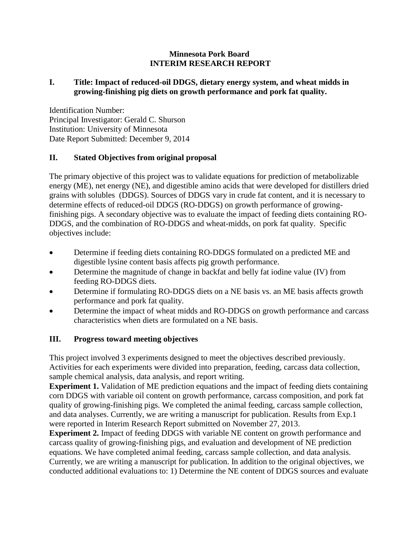#### **Minnesota Pork Board INTERIM RESEARCH REPORT**

#### **I. Title: Impact of reduced-oil DDGS, dietary energy system, and wheat midds in growing-finishing pig diets on growth performance and pork fat quality.**

Identification Number: Principal Investigator: Gerald C. Shurson Institution: University of Minnesota Date Report Submitted: December 9, 2014

# **II. Stated Objectives from original proposal**

The primary objective of this project was to validate equations for prediction of metabolizable energy (ME), net energy (NE), and digestible amino acids that were developed for distillers dried grains with solubles (DDGS). Sources of DDGS vary in crude fat content, and it is necessary to determine effects of reduced-oil DDGS (RO-DDGS) on growth performance of growingfinishing pigs. A secondary objective was to evaluate the impact of feeding diets containing RO-DDGS, and the combination of RO-DDGS and wheat-midds, on pork fat quality. Specific objectives include:

- Determine if feeding diets containing RO-DDGS formulated on a predicted ME and digestible lysine content basis affects pig growth performance.
- Determine the magnitude of change in backfat and belly fat iodine value (IV) from feeding RO-DDGS diets.
- Determine if formulating RO-DDGS diets on a NE basis vs. an ME basis affects growth performance and pork fat quality.
- Determine the impact of wheat midds and RO-DDGS on growth performance and carcass characteristics when diets are formulated on a NE basis.

# **III. Progress toward meeting objectives**

This project involved 3 experiments designed to meet the objectives described previously. Activities for each experiments were divided into preparation, feeding, carcass data collection, sample chemical analysis, data analysis, and report writing.

**Experiment 1.** Validation of ME prediction equations and the impact of feeding diets containing corn DDGS with variable oil content on growth performance, carcass composition, and pork fat quality of growing-finishing pigs. We completed the animal feeding, carcass sample collection, and data analyses. Currently, we are writing a manuscript for publication. Results from Exp.1 were reported in Interim Research Report submitted on November 27, 2013.

**Experiment 2.** Impact of feeding DDGS with variable NE content on growth performance and carcass quality of growing-finishing pigs, and evaluation and development of NE prediction equations. We have completed animal feeding, carcass sample collection, and data analysis. Currently, we are writing a manuscript for publication. In addition to the original objectives, we conducted additional evaluations to: 1) Determine the NE content of DDGS sources and evaluate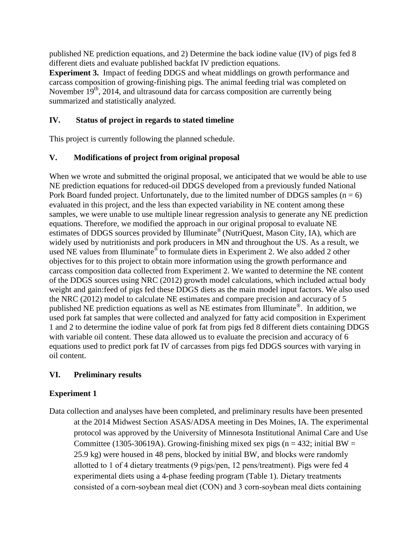published NE prediction equations, and 2) Determine the back iodine value (IV) of pigs fed 8 different diets and evaluate published backfat IV prediction equations.

**Experiment 3.** Impact of feeding DDGS and wheat middlings on growth performance and carcass composition of growing-finishing pigs. The animal feeding trial was completed on November  $19<sup>th</sup>$ , 2014, and ultrasound data for carcass composition are currently being summarized and statistically analyzed.

# **IV. Status of project in regards to stated timeline**

This project is currently following the planned schedule.

# **V. Modifications of project from original proposal**

When we wrote and submitted the original proposal, we anticipated that we would be able to use NE prediction equations for reduced-oil DDGS developed from a previously funded National Pork Board funded project. Unfortunately, due to the limited number of DDGS samples  $(n = 6)$ evaluated in this project, and the less than expected variability in NE content among these samples, we were unable to use multiple linear regression analysis to generate any NE prediction equations. Therefore, we modified the approach in our original proposal to evaluate NE estimates of DDGS sources provided by Illuminate® (NutriQuest, Mason City, IA), which are widely used by nutritionists and pork producers in MN and throughout the US. As a result, we used NE values from Illuminate® to formulate diets in Experiment 2. We also added 2 other objectives for to this project to obtain more information using the growth performance and carcass composition data collected from Experiment 2. We wanted to determine the NE content of the DDGS sources using NRC (2012) growth model calculations, which included actual body weight and gain:feed of pigs fed these DDGS diets as the main model input factors. We also used the NRC (2012) model to calculate NE estimates and compare precision and accuracy of 5 published NE prediction equations as well as NE estimates from Illuminate®. In addition, we used pork fat samples that were collected and analyzed for fatty acid composition in Experiment 1 and 2 to determine the iodine value of pork fat from pigs fed 8 different diets containing DDGS with variable oil content. These data allowed us to evaluate the precision and accuracy of 6 equations used to predict pork fat IV of carcasses from pigs fed DDGS sources with varying in oil content.

# **VI. Preliminary results**

# **Experiment 1**

Data collection and analyses have been completed, and preliminary results have been presented at the 2014 Midwest Section ASAS/ADSA meeting in Des Moines, IA. The experimental protocol was approved by the University of Minnesota Institutional Animal Care and Use Committee (1305-30619A). Growing-finishing mixed sex pigs (n = 432; initial BW = 25.9 kg) were housed in 48 pens, blocked by initial BW, and blocks were randomly allotted to 1 of 4 dietary treatments (9 pigs/pen, 12 pens/treatment). Pigs were fed 4 experimental diets using a 4-phase feeding program (Table 1). Dietary treatments consisted of a corn-soybean meal diet (CON) and 3 corn-soybean meal diets containing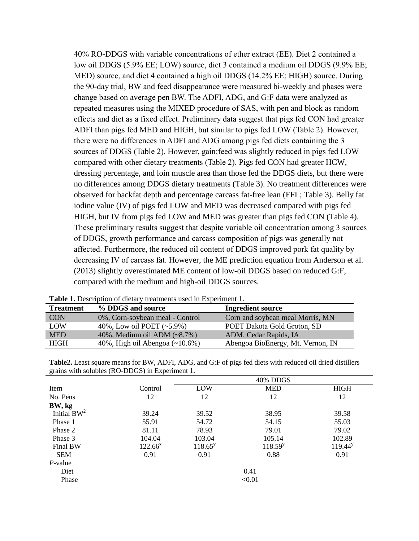40% RO-DDGS with variable concentrations of ether extract (EE). Diet 2 contained a low oil DDGS (5.9% EE; LOW) source, diet 3 contained a medium oil DDGS (9.9% EE; MED) source, and diet 4 contained a high oil DDGS (14.2% EE; HIGH) source. During the 90-day trial, BW and feed disappearance were measured bi-weekly and phases were change based on average pen BW. The ADFI, ADG, and G:F data were analyzed as repeated measures using the MIXED procedure of SAS, with pen and block as random effects and diet as a fixed effect. Preliminary data suggest that pigs fed CON had greater ADFI than pigs fed MED and HIGH, but similar to pigs fed LOW (Table 2). However, there were no differences in ADFI and ADG among pigs fed diets containing the 3 sources of DDGS (Table 2). However, gain:feed was slightly reduced in pigs fed LOW compared with other dietary treatments (Table 2). Pigs fed CON had greater HCW, dressing percentage, and loin muscle area than those fed the DDGS diets, but there were no differences among DDGS dietary treatments (Table 3). No treatment differences were observed for backfat depth and percentage carcass fat-free lean (FFL; Table 3). Belly fat iodine value (IV) of pigs fed LOW and MED was decreased compared with pigs fed HIGH, but IV from pigs fed LOW and MED was greater than pigs fed CON (Table 4). These preliminary results suggest that despite variable oil concentration among 3 sources of DDGS, growth performance and carcass composition of pigs was generally not affected. Furthermore, the reduced oil content of DDGS improved pork fat quality by decreasing IV of carcass fat. However, the ME prediction equation from Anderson et al. (2013) slightly overestimated ME content of low-oil DDGS based on reduced G:F, compared with the medium and high-oil DDGS sources.

| Those II Dependition of Giving a channonic government in the contraction of |                                       |                                   |  |  |  |  |
|-----------------------------------------------------------------------------|---------------------------------------|-----------------------------------|--|--|--|--|
| <b>Treatment</b>                                                            | % DDGS and source                     | <b>Ingredient source</b>          |  |  |  |  |
| <b>CON</b>                                                                  | 0%, Corn-soybean meal - Control       | Corn and soybean meal Morris, MN  |  |  |  |  |
| LOW                                                                         | 40%, Low oil POET $(-5.9\%)$          | POET Dakota Gold Groton, SD       |  |  |  |  |
| <b>MED</b>                                                                  | 40%, Medium oil ADM $(-8.7%)$         | ADM, Cedar Rapids, IA             |  |  |  |  |
| <b>HIGH</b>                                                                 | 40%, High oil Abengoa $(\sim 10.6\%)$ | Abengoa BioEnergy, Mt. Vernon, IN |  |  |  |  |

**Table 1.** Description of dietary treatments used in Experiment 1.

**Table2.** Least square means for BW, ADFI, ADG, and G:F of pigs fed diets with reduced oil dried distillers grains with solubles (RO-DDGS) in Experiment 1.

|                |            | 40% DDGS   |              |             |  |  |  |  |
|----------------|------------|------------|--------------|-------------|--|--|--|--|
| Item           | Control    | LOW        | <b>MED</b>   | <b>HIGH</b> |  |  |  |  |
| No. Pens       | 12         | 12         | 12           | 12          |  |  |  |  |
| BW, kg         |            |            |              |             |  |  |  |  |
| Initial $BW^2$ | 39.24      | 39.52      | 38.95        | 39.58       |  |  |  |  |
| Phase 1        | 55.91      | 54.72      | 54.15        | 55.03       |  |  |  |  |
| Phase 2        | 81.11      | 78.93      | 79.01        | 79.02       |  |  |  |  |
| Phase 3        | 104.04     | 103.04     | 105.14       | 102.89      |  |  |  |  |
| Final BW       | $122.66^x$ | $118.65^y$ | $118.59^{y}$ | $119.44^y$  |  |  |  |  |
| <b>SEM</b>     | 0.91       | 0.91       | 0.88         | 0.91        |  |  |  |  |
| $P$ -value     |            |            |              |             |  |  |  |  |
| Diet           |            |            | 0.41         |             |  |  |  |  |
| Phase          |            |            | < 0.01       |             |  |  |  |  |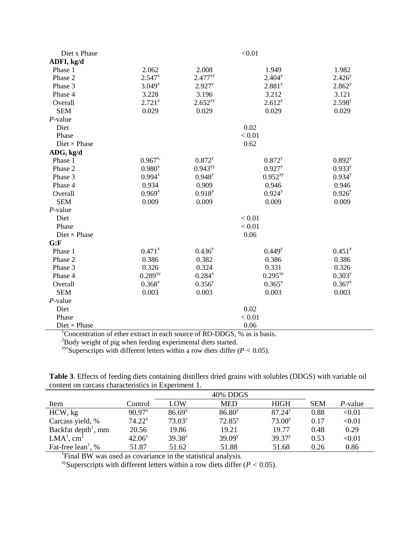| Diet x Phase                          |              |                       | < 0.01               |                    |  |  |  |
|---------------------------------------|--------------|-----------------------|----------------------|--------------------|--|--|--|
| ADFI, kg/d                            |              |                       |                      |                    |  |  |  |
| Phase 1                               | 2.062        | 2.008                 | 1.949                | 1.982              |  |  |  |
| Phase 2                               | $2.547^{x}$  | $2.477^{xy}$          | $2.404^y$            | $2.426^{y}$        |  |  |  |
| Phase 3                               | $3.049^{x}$  | 2.927 <sup>y</sup>    | 2.881 <sup>y</sup>   | 2.862 <sup>y</sup> |  |  |  |
| Phase 4                               | 3.228        | 3.196                 | 3.212                | 3.121              |  |  |  |
| Overall                               | $2.721^{x}$  | $2.652^{xy}$          | 2.612 <sup>y</sup>   | $2.598^{y}$        |  |  |  |
| <b>SEM</b>                            | 0.029        | 0.029                 | 0.029                | 0.029              |  |  |  |
| $P$ -value                            |              |                       |                      |                    |  |  |  |
| Diet                                  |              |                       | 0.02                 |                    |  |  |  |
| Phase                                 |              |                       | < 0.01               |                    |  |  |  |
| $Diet \times Phase$                   |              |                       | 0.62                 |                    |  |  |  |
| ADG, kg/d                             |              |                       |                      |                    |  |  |  |
| Phase 1                               | $0.967^{x}$  | $0.872$ <sup>y</sup>  | $0.872^{y}$          | $0.892^{y}$        |  |  |  |
| Phase 2                               | $0.980^{x}$  | $0.943^{xy}$          | $0.927^{y}$          | $0.933^{y}$        |  |  |  |
| Phase 3                               | $0.994^{x}$  | $0.948^{y}$           | $0.952^{xy}$         | $0.934^{y}$        |  |  |  |
| Phase 4                               | 0.934        | 0.909                 | 0.946                | 0.946              |  |  |  |
| Overall                               | $0.969^{x}$  | $0.918^{y}$           | $0.924^{y}$          | $0.926^{y}$        |  |  |  |
| <b>SEM</b>                            | 0.009        | 0.009                 | 0.009                | 0.009              |  |  |  |
| $P$ -value                            |              |                       |                      |                    |  |  |  |
| Diet                                  |              |                       | < 0.01               |                    |  |  |  |
| Phase                                 |              |                       | < 0.01               |                    |  |  |  |
| $Dict \times Phase$                   |              |                       | 0.06                 |                    |  |  |  |
| G: F                                  |              |                       |                      |                    |  |  |  |
| Phase 1                               | $0.471^{x}$  | $0.436^{y}$           | $0.449^{y}$          | 0.451 <sup>y</sup> |  |  |  |
| Phase 2                               | 0.386        | 0.382                 | 0.386                | 0.386              |  |  |  |
| Phase 3                               | 0.326        | 0.324                 | 0.331                | 0.326              |  |  |  |
| Phase 4                               | $0.289^{xy}$ | $0.284^{x}$           | $0.295^{xy}$         | $0.303^{y}$        |  |  |  |
| Overall                               | $0.368^{x}$  | $0.356^{y}$           | $0.365^{x}$          | $0.367^{x}$        |  |  |  |
| <b>SEM</b>                            | 0.003        | 0.003                 | 0.003                | 0.003              |  |  |  |
| $P$ -value                            |              |                       |                      |                    |  |  |  |
| Diet                                  |              |                       | 0.02                 |                    |  |  |  |
| Phase                                 |              |                       | < 0.01               |                    |  |  |  |
| $Dict \times Phase$<br>$\overline{a}$ |              | $c_{\bf D}$<br>$\cap$ | 0.06<br>$\mathbf{a}$ |                    |  |  |  |

<sup>1</sup>Concentration of ether extract in each source of RO-DDGS, % as is basis.

 $^{2}$ Body weight of pig when feeding experimental diets started.

 $x_{yz}$ Superscripts with different letters within a row diets differ ( $P < 0.05$ ).

**Table 3**. Effects of feeding diets containing distillers dried grains with solubles (DDGS) with variable oil content on carcass characteristics in Experiment 1.

|                                 | 40% DDGS    |             |             |                    |            |                         |  |  |  |
|---------------------------------|-------------|-------------|-------------|--------------------|------------|-------------------------|--|--|--|
| Item                            | Control     | LOW         | <b>MED</b>  | <b>HIGH</b>        | <b>SEM</b> | P-value                 |  |  |  |
| HCW, kg                         | $90.97^{x}$ | $86.69^{y}$ | $86.80^{y}$ | 87.24 <sup>y</sup> | 0.88       | < 0.01                  |  |  |  |
| Carcass yield, %                | $74.22^x$   | $73.03^{y}$ | $72.85^y$   | 73.00 <sup>y</sup> | 0.17       | $< \hspace{-0.2em}0.01$ |  |  |  |
| Backfat depth <sup>1</sup> , mm | 20.56       | 19.86       | 19.21       | 19.77              | 0.48       | 0.29                    |  |  |  |
| $LMA1$ , cm <sup>2</sup>        | $42.06^x$   | $39.38^{y}$ | $39.09^{y}$ | 39.37 <sup>y</sup> | 0.53       | $< \hspace{-0.2em}0.01$ |  |  |  |
| Fat-free $lean1$ , %            | 51.87       | 51.62       | 51.88       | 51.68              | 0.26       | 0.86                    |  |  |  |

<sup>1</sup>Final BW was used as covariance in the statistical analysis.

xySuperscripts with different letters within a row diets differ (*P <* 0.05).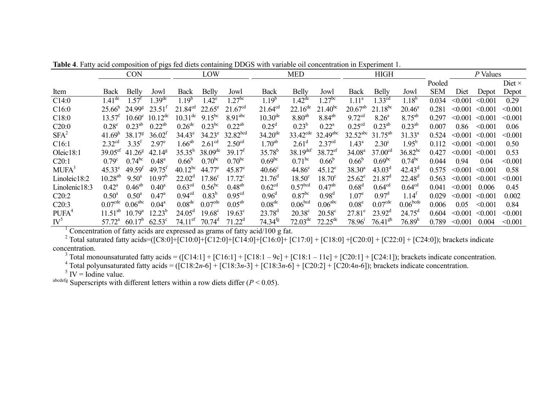|                   |                     | <b>CON</b>          |                      |                       | LOW                  |                     |                    | <b>MED</b>           |                        |                        | <b>HIGH</b>         |                      |            |         | P Values     |               |
|-------------------|---------------------|---------------------|----------------------|-----------------------|----------------------|---------------------|--------------------|----------------------|------------------------|------------------------|---------------------|----------------------|------------|---------|--------------|---------------|
|                   |                     |                     |                      |                       |                      |                     |                    |                      |                        |                        |                     |                      | Pooled     |         |              | Diet $\times$ |
| Item              | Back                | <b>Belly</b>        | Jowl                 | Back                  | <b>Belly</b>         | Jowl                | Back               | <b>Belly</b>         | Jowl                   | Back                   | <b>Belly</b>        | Jowl                 | <b>SEM</b> | Diet    | Depot        | Depot         |
| C14:0             | $1.41^{\text{de}}$  | $1.57^{\text{T}}$   | $1.39^{\text{de}}$   | $1.19^{b}$            | $1.42^e$             | $1.27^{b\bar{c}}$   | $1.19^{b}$         | $1.42^{\text{de}}$   | $.27^{bc}$             | 1.11 <sup>a</sup>      | 1.33 <sup>cd</sup>  | $1.18^{b}$           | 0.034      | < 0.001 | < 0.001      | 0.29          |
| C16:0             | 25.66 <sup>h</sup>  | $24.99^{\rm g}$     | $23.51^t$            | $21.84^{cd}$          | $22.65^{\circ}$      | 21.67 <sup>cd</sup> | $21.64^{cd}$       | $22.16^{de}$         | $21.40^{bc}$           | $20.67^{ab}$           | $21.18^{bc}$        | $20.46^a$            | 0.281      | < 0.001 | < 0.001      | < 0.001       |
| C18:0             | $13.57^t$           | $10.60^e$           | $10.12^{\text{de}}$  | $10.31^{\text{de}}$   | $9.15^{bc}$          | 8.91 <sup>abc</sup> | $10.30^{de}$       | $8.80^{ab}$          | $8.84^{ab}$            | $9.72^{cd}$            | $8.26^{\circ}$      | $8.75^{ab}$          | 0.297      | < 0.001 | $\leq 0.001$ | < 0.001       |
| C20:0             | $0.28^e$            | $0.23^{ab}$         | $0.22^{ab}$          | $0.26$ <sup>de</sup>  | $0.23$ <sup>bc</sup> | $0.22^{ab}$         | $0.25^{\rm d}$     | $0.23^{b}$           | $0.22^{\rm a}$         | 0.25 <sup>cd</sup>     | $0.23^{ab}$         | $0.23^{ab}$          | 0.007      | 0.86    | < 0.001      | 0.06          |
| $SFA^2$           | 41.69 <sup>h</sup>  | 38.17 <sup>8</sup>  | 36.02 <sup>f</sup>   | $34.43^e$             | $34.23^e$            | $32.82^{bcd}$       | $34.20^{de}$       | $33.42^{\text{cde}}$ | $32.49$ <sup>abc</sup> | $32.52$ <sup>abc</sup> | $31.75^{ab}$        | $31.33^{a}$          | 0.524      | < 0.001 | < 0.001      | < 0.001       |
| C16:1             | 2.32 <sup>cd</sup>  | 3.35 <sup>f</sup>   | 2.97 <sup>e</sup>    | $1.66^{ab}$           | 2.61 <sup>cd</sup>   | 2.50 <sup>cd</sup>  | $1.70^{ab}$        | $2.61^d$             | 2.37 <sup>cd</sup>     | $1.43^{\circ}$         | $2.30^\circ$        | $1.95^{b}$           | 0.112      | < 0.001 | < 0.001      | 0.50          |
| Oleic18:1         | $39.05^{\text{ef}}$ | $41.26^8$           | $42.14^8$            | $35.35^{b}$           | $38.09^{\text{de}}$  | 39.17 <sup>t</sup>  | $35.78^{b}$        | $38.19^{def}$        | $38.72^{\rm ef}$       | 34.08 <sup>a</sup>     | 37.00 <sup>cd</sup> | $36.82^{bc}$         | 0.427      | < 0.001 | < 0.001      | 0.53          |
| C20:1             | $0.79^{\circ}$      | $0.74^{bc}$         | $0.48^{\text{a}}$    | $0.66^{b}$            | $0.70^{bc}$          | $0.70^{bc}$         | $0.69^{bc}$        | $0.71^{bc}$          | $0.66^{\rm b}$         | $0.66^{\rm b}$         | 0.69 <sup>bc</sup>  | $0.74^{bc}$          | 0.044      | 0.94    | 0.04         | < 0.001       |
| MUFA <sup>3</sup> | $45.33^e$           | 49.59 <sup>t</sup>  | $49.75$ <sup>f</sup> | $40.12^{bc}$          | $44.77^e$            | $45.87^{\circ}$     | 40.66 <sup>c</sup> | $44.86^{\circ}$      | $45.12^e$              | $38.30^{a}$            | $43.03^d$           | $42.43^{\rm d}$      | 0.575      | < 0.001 | < 0.001      | 0.58          |
| Linoleic18:2      | $10.28^{ab}$        | $9.50^{\circ}$      | 10.97 <sup>b</sup>   | $22.02^d$             | $17.86^{\circ}$      | $17.72^{\circ}$     | $21.76^{\rm d}$    | $18.50^{\circ}$      | $18.70^{\circ}$        | $25.62^e$              | $21.87^d$           | $22.48^{d}$          | 0.563      | < 0.001 | $\leq 0.001$ | < 0.001       |
| Linolenic18:3     | $0.42^{\rm a}$      | $0.46^{ab}$         | $0.40^{\circ}$       | 0.63 <sup>cd</sup>    | $0.56^{bc}$          | $0.48^{ab}$         | 0.62 <sup>cd</sup> | 0.57 <sup>bcd</sup>  | $0.47^{ab}$            | $0.68^d$               | 0.64 <sup>cd</sup>  | 0.64 <sup>cd</sup>   | 0.041      | < 0.001 | 0.006        | 0.45          |
| C20:2             | $0.50^{\text{a}}$   | $0.50^{\text{a}}$   | $0.47^{\rm a}$       | 0.94 <sup>cd</sup>    | $0.83^{b}$           | 0.95 <sup>cd</sup>  | 0.96 <sup>d</sup>  | $0.87$ <sup>bc</sup> | 0.98 <sup>d</sup>      | 1.07 <sup>e</sup>      | $0.97^{\rm d}$      | $1.14^t$             | 0.029      | < 0.001 | < 0.001      | 0.002         |
| C20:3             | 0.07 <sup>cde</sup> | $0.06^{\text{abc}}$ | $0.04^{\text{a}}$    | 0.08 <sup>de</sup>    | 0.07 <sup>cde</sup>  | $0.05^{ab}$         | 0.08 <sup>de</sup> | 0.06 <sup>bcd</sup>  | 0.06 <sup>abc</sup>    | 0.08 <sup>e</sup>      | 0.07 <sup>cde</sup> | 0.06 <sup>bcde</sup> | 0.006      | 0.05    | < 0.001      | 0.84          |
| PUFA <sup>4</sup> | $11.51^{ab}$        | $10.79^{\circ}$     | $12.23^{b}$          | $24.05^{\rm d}$       | $19.68^{\circ}$      | $19.63^{\circ}$     | $23.78^{d}$        | $20.38^{\circ}$      | $20.58^{\circ}$        | $27.81^e$              | $23.92^d$           | $24.75^{\rm d}$      | 0.604      | < 0.001 | < 0.001      | < 0.001       |
| $\mathbf{IV}^5$   | $57.72^a$           | $60.17^{b}$         | $62.53^{\circ}$      | $74.11$ <sup>ef</sup> | $70.74^d$            | $71.22^d$           | $74.34^{fg}$       | $72.03^{\text{de}}$  | $72.25^{\text{de}}$    | $78.96^{\circ}$        | $76.41^{gh}$        | 76.89 <sup>h</sup>   | 0.789      | < 0.001 | 0.004        | < 0.001       |

**Table 4**. Fatty acid composition of pigs fed diets containing DDGS with variable oil concentration in Experiment 1.

<sup>1</sup> Concentration of fatty acids are expressed as grams of fatty acid/100 g fat.

<sup>2</sup> Total saturated fatty acids=([C8:0]+[C10:0]+[C12:0]+[C14:0]+[C16:0]+ [C17:0] + [C18:0] + [C20:0] + [C22:0] + [C24:0]); brackets indicate concentration.

<sup>3</sup> Total monounsaturated fatty acids = ( $[C14:1] + [C16:1] + [C18:1 - 9c] + [C18:1 - 11c] + [C20:1] + [C24:1]$ ); brackets indicate concentration.

<sup>4</sup> Total polyunsaturated fatty acids = ( $[C18:2n-6] + [C18:3n-3] + [C18:3n-6] + [C20:2] + [C20:4n-6]$ ); brackets indicate concentration.

 $5$  IV = Iodine value.

 $a^{boldeg}$  Superscripts with different letters within a row diets differ ( $P < 0.05$ ).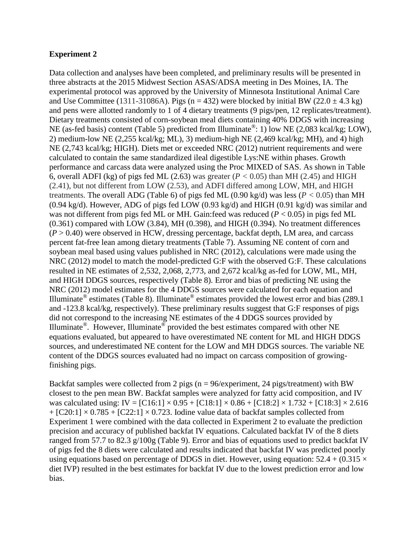#### **Experiment 2**

Data collection and analyses have been completed, and preliminary results will be presented in three abstracts at the 2015 Midwest Section ASAS/ADSA meeting in Des Moines, IA. The experimental protocol was approved by the University of Minnesota Institutional Animal Care and Use Committee (1311-31086A). Pigs (n = 432) were blocked by initial BW (22.0  $\pm$  4.3 kg) and pens were allotted randomly to 1 of 4 dietary treatments (9 pigs/pen, 12 replicates/treatment). Dietary treatments consisted of corn-soybean meal diets containing 40% DDGS with increasing NE (as-fed basis) content (Table 5) predicted from Illuminate<sup>®</sup>: 1) low NE (2,083 kcal/kg; LOW), 2) medium-low NE (2,255 kcal/kg; ML), 3) medium-high NE (2,469 kcal/kg; MH), and 4) high NE (2,743 kcal/kg; HIGH). Diets met or exceeded NRC (2012) nutrient requirements and were calculated to contain the same standardized ileal digestible Lys:NE within phases. Growth performance and carcass data were analyzed using the Proc MIXED of SAS. As shown in Table 6, overall ADFI (kg) of pigs fed ML (2.63) was greater ( $P < 0.05$ ) than MH (2.45) and HIGH (2.41), but not different from LOW (2.53), and ADFI differed among LOW, MH, and HIGH treatments. The overall ADG (Table 6) of pigs fed ML (0.90 kg/d) was less (*P <* 0.05) than MH (0.94 kg/d). However, ADG of pigs fed LOW (0.93 kg/d) and HIGH (0.91 kg/d) was similar and was not different from pigs fed ML or MH. Gain:feed was reduced (*P* < 0.05) in pigs fed ML (0.361) compared with LOW (3.84), MH (0.398), and HIGH (0.394). No treatment differences  $(P > 0.40)$  were observed in HCW, dressing percentage, backfat depth, LM area, and carcass percent fat-free lean among dietary treatments (Table 7). Assuming NE content of corn and soybean meal based using values published in NRC (2012), calculations were made using the NRC (2012) model to match the model-predicted G:F with the observed G:F. These calculations resulted in NE estimates of 2,532, 2,068, 2,773, and 2,672 kcal/kg as-fed for LOW, ML, MH, and HIGH DDGS sources, respectively (Table 8). Error and bias of predicting NE using the NRC (2012) model estimates for the 4 DDGS sources were calculated for each equation and Illuminate<sup>®</sup> estimates (Table 8). Illuminate<sup>®</sup> estimates provided the lowest error and bias (289.1) and -123.8 kcal/kg, respectively). These preliminary results suggest that G:F responses of pigs did not correspond to the increasing NE estimates of the 4 DDGS sources provided by Illuminate<sup>®</sup>. However, Illuminate<sup>®</sup> provided the best estimates compared with other NE equations evaluated, but appeared to have overestimated NE content for ML and HIGH DDGS sources, and underestimated NE content for the LOW and MH DDGS sources. The variable NE content of the DDGS sources evaluated had no impact on carcass composition of growingfinishing pigs.

Backfat samples were collected from 2 pigs ( $n = 96$ /experiment, 24 pigs/treatment) with BW closest to the pen mean BW. Backfat samples were analyzed for fatty acid composition, and IV was calculated using: IV =  $[C16:1] \times 0.95 + [C18:1] \times 0.86 + [C18:2] \times 1.732 + [C18:3] \times 2.616$  $+ [C20:1] \times 0.785 + [C22:1] \times 0.723$ . Iodine value data of backfat samples collected from Experiment 1 were combined with the data collected in Experiment 2 to evaluate the prediction precision and accuracy of published backfat IV equations. Calculated backfat IV of the 8 diets ranged from 57.7 to 82.3 g/100g (Table 9). Error and bias of equations used to predict backfat IV of pigs fed the 8 diets were calculated and results indicated that backfat IV was predicted poorly using equations based on percentage of DDGS in diet. However, using equation:  $52.4 + (0.315 \times$ diet IVP) resulted in the best estimates for backfat IV due to the lowest prediction error and low bias.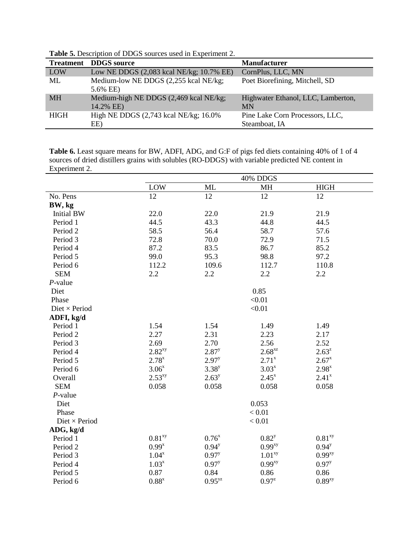| <b>Treatment</b> | <b>DDGS</b> source                                  | <b>Manufacturer</b>                             |
|------------------|-----------------------------------------------------|-------------------------------------------------|
| LOW              | Low NE DDGS (2,083 kcal NE/kg; 10.7% EE)            | CornPlus, LLC, MN                               |
| ML               | Medium-low NE DDGS (2,255 kcal NE/kg;<br>5.6% EE)   | Poet Biorefining, Mitchell, SD                  |
| <b>MH</b>        | Medium-high NE DDGS (2,469 kcal NE/kg;<br>14.2% EE) | Highwater Ethanol, LLC, Lamberton,<br><b>MN</b> |
| <b>HIGH</b>      | High NE DDGS $(2,743 \text{ kcal NE/kg}; 16.0\%$    | Pine Lake Corn Processors, LLC,                 |
|                  | EE)                                                 | Steamboat, IA                                   |

**Table 5.** Description of DDGS sources used in Experiment 2.

**Table 6.** Least square means for BW, ADFI, ADG, and G:F of pigs fed diets containing 40% of 1 of 4 sources of dried distillers grains with solubles (RO-DDGS) with variable predicted NE content in Experiment 2.

|                      |                     |             | 40% DDGS           |                      |
|----------------------|---------------------|-------------|--------------------|----------------------|
|                      | <b>LOW</b>          | <b>ML</b>   | MH                 | <b>HIGH</b>          |
| No. Pens             | 12                  | 12          | 12                 | 12                   |
| BW, kg               |                     |             |                    |                      |
| <b>Initial BW</b>    | 22.0                | 22.0        | 21.9               | 21.9                 |
| Period 1             | 44.5                | 43.3        | 44.8               | 44.5                 |
| Period 2             | 58.5                | 56.4        | 58.7               | 57.6                 |
| Period 3             | 72.8                | 70.0        | 72.9               | 71.5                 |
| Period 4             | 87.2                | 83.5        | 86.7               | 85.2                 |
| Period 5             | 99.0                | 95.3        | 98.8               | 97.2                 |
| Period 6             | 112.2               | 109.6       | 112.7              | 110.8                |
| <b>SEM</b>           | 2.2                 | 2.2         | 2.2                | 2.2                  |
| $P$ -value           |                     |             |                    |                      |
| Diet                 |                     |             | 0.85               |                      |
| Phase                |                     |             | < 0.01             |                      |
| Diet $\times$ Period |                     |             | < 0.01             |                      |
| ADFI, kg/d           |                     |             |                    |                      |
| Period 1             | 1.54                | 1.54        | 1.49               | 1.49                 |
| Period 2             | 2.27                | 2.31        | 2.23               | 2.17                 |
| Period 3             | 2.69                | 2.70        | 2.56               | 2.52                 |
| Period 4             | $2.82^{xy}$         | $2.87^y$    | $2.68^{xz}$        | $2.63^{z}$           |
| Period 5             | $2.78^{x}$          | $2.97^{y}$  | $2.71^{x}$         | $2.67^{x}$           |
| Period 6             | $3.06^{x}$          | $3.38^{y}$  | $3.03^{x}$         | $2.98^{x}$           |
| Overall              | $2.53^{xy}$         | $2.63^y$    | $2.45^x$           | $2.41^x$             |
| <b>SEM</b>           | 0.058               | 0.058       | 0.058              | 0.058                |
| $P$ -value           |                     |             |                    |                      |
| Diet                 |                     |             | 0.053              |                      |
| Phase                |                     |             | < 0.01             |                      |
| Diet $\times$ Period |                     |             | < 0.01             |                      |
| ADG, kg/d            |                     |             |                    |                      |
| Period 1             | 0.81 <sup>xy</sup>  | $0.76^{x}$  | $0.82^{y}$         | $0.81$ <sup>xy</sup> |
| Period 2             | $0.99^{x}$          | $0.94^{y}$  | 0.99 <sup>xy</sup> | $0.94^{y}$           |
| Period 3             | $1.04^{x}$          | $0.97^{y}$  | 1.01 <sup>xy</sup> | $0.99^{xy}$          |
| Period 4             | $1.03^{x}$          | $0.97^{y}$  | 0.99 <sup>xy</sup> | $0.97^{y}$           |
| Period 5             | 0.87                | 0.84        | 0.86               | 0.86                 |
| Period 6             | $0.88$ <sup>x</sup> | $0.95^{yz}$ | $0.97^{z}$         | $0.89^{xy}$          |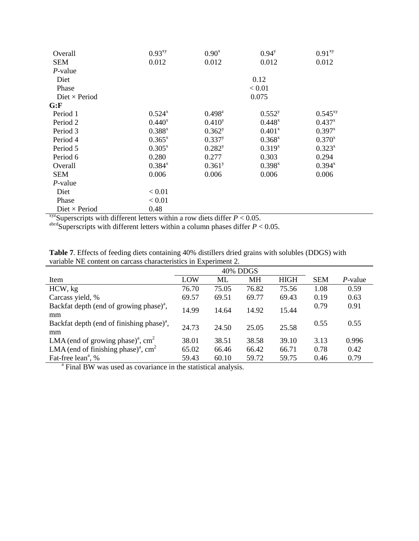| Overall              | $0.93^{xy}$ | $0.90^{x}$           | $0.94^{y}$  | 0.91 <sup>xy</sup> |
|----------------------|-------------|----------------------|-------------|--------------------|
| <b>SEM</b>           | 0.012       | 0.012                | 0.012       | 0.012              |
| $P$ -value           |             |                      |             |                    |
| Diet                 |             |                      | 0.12        |                    |
| Phase                |             |                      | < 0.01      |                    |
| Diet $\times$ Period |             |                      | 0.075       |                    |
| G: F                 |             |                      |             |                    |
| Period 1             | $0.524^{x}$ | $0.498^{z}$          | $0.552^{y}$ | $0.545^{xy}$       |
| Period 2             | $0.440^{x}$ | $0.410^{y}$          | $0.448^{x}$ | $0.437^{x}$        |
| Period 3             | $0.388^{x}$ | $0.362^y$            | $0.401^{x}$ | $0.397^{x}$        |
| Period 4             | $0.365^{x}$ | $0.337^{y}$          | $0.368^{x}$ | $0.370^{x}$        |
| Period 5             | $0.305^{x}$ | $0.282^{y}$          | $0.319^{x}$ | $0.323^{x}$        |
| Period 6             | 0.280       | 0.277                | 0.303       | 0.294              |
| Overall              | $0.384^{x}$ | $0.361$ <sup>y</sup> | $0.398^{x}$ | $0.394^{x}$        |
| <b>SEM</b>           | 0.006       | 0.006                | 0.006       | 0.006              |
| P-value              |             |                      |             |                    |
| Diet                 | < 0.01      |                      |             |                    |
| Phase                | < 0.01      |                      |             |                    |
| Diet $\times$ Period | 0.48        |                      |             |                    |

 $x_{\text{yz}}$ Superscripts with different letters within a row diets differ  $P < 0.05$ .

 $a<sup>abcd</sup>$ Superscripts with different letters within a column phases differ  $P < 0.05$ .

|                                                                 | <b>Table 7.</b> Effects of feeding diets containing 40% distillers dried grains with solubles (DDGS) with |
|-----------------------------------------------------------------|-----------------------------------------------------------------------------------------------------------|
| variable NE content on carcass characteristics in Experiment 2. |                                                                                                           |

|                                                                           | 40% DDGS |       |           |             |            |            |  |  |  |
|---------------------------------------------------------------------------|----------|-------|-----------|-------------|------------|------------|--|--|--|
| Item                                                                      | LOW      | ML    | <b>MH</b> | <b>HIGH</b> | <b>SEM</b> | $P$ -value |  |  |  |
| HCW, kg                                                                   | 76.70    | 75.05 | 76.82     | 75.56       | 1.08       | 0.59       |  |  |  |
| Carcass yield, %                                                          | 69.57    | 69.51 | 69.77     | 69.43       | 0.19       | 0.63       |  |  |  |
| Backfat depth (end of growing phase) <sup><math>a</math></sup> ,<br>mm    | 14.99    | 14.64 | 14.92     | 15.44       | 0.79       | 0.91       |  |  |  |
| Backfat depth (end of finishing phase) <sup><math>a</math></sup> ,<br>mm  | 24.73    | 24.50 | 25.05     | 25.58       | 0.55       | 0.55       |  |  |  |
| LMA (end of growing phase) <sup>a</sup> , cm <sup>2</sup>                 | 38.01    | 38.51 | 38.58     | 39.10       | 3.13       | 0.996      |  |  |  |
| LMA (end of finishing phase) <sup>a</sup> , cm <sup>2</sup>               | 65.02    | 66.46 | 66.42     | 66.71       | 0.78       | 0.42       |  |  |  |
| Fat-free lean <sup>a</sup> , %                                            | 59.43    | 60.10 | 59.72     | 59.75       | 0.46       | 0.79       |  |  |  |
| <sup>a</sup> Final BW was used as covariance in the statistical analysis. |          |       |           |             |            |            |  |  |  |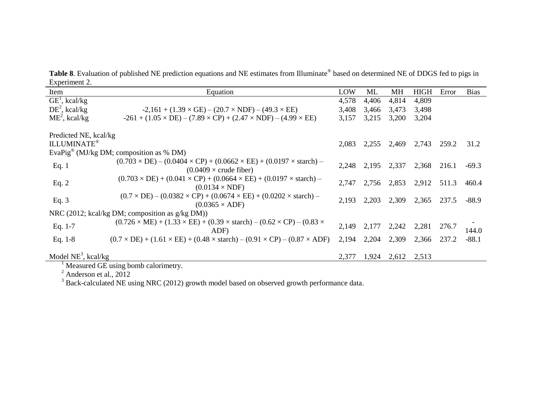Table 8. Evaluation of published NE prediction equations and NE estimates from Illuminate® based on determined NE of DDGS fed to pigs in Experiment 2.

| $L$ $\Delta$ pvinnent $\Delta$ .<br>Item    | Equation                                                                                                                                | LOW   | ML    | МH    | <b>HIGH</b> | Error | <b>Bias</b> |
|---------------------------------------------|-----------------------------------------------------------------------------------------------------------------------------------------|-------|-------|-------|-------------|-------|-------------|
| $\overline{GE}^1$ , kcal/kg                 |                                                                                                                                         | 4,578 | 4,406 | 4,814 | 4,809       |       |             |
| $DE^2$ , kcal/kg                            |                                                                                                                                         |       |       |       |             |       |             |
|                                             | $-2,161 + (1.39 \times GE) - (20.7 \times NDF) - (49.3 \times EE)$                                                                      | 3,408 | 3,466 | 3,473 | 3,498       |       |             |
| $ME^2$ , kcal/kg                            | $-261 + (1.05 \times DE) - (7.89 \times CP) + (2.47 \times NDF) - (4.99 \times EE)$                                                     | 3,157 | 3,215 | 3,200 | 3,204       |       |             |
| Predicted NE, kcal/kg<br><b>ILLUMINATE®</b> |                                                                                                                                         | 2,083 | 2,255 | 2,469 | 2,743       | 259.2 | 31.2        |
|                                             | EvaPig® (MJ/kg DM; composition as % DM)                                                                                                 |       |       |       |             |       |             |
|                                             |                                                                                                                                         |       |       |       |             |       |             |
| Eq. 1                                       | $(0.703 \times DE) - (0.0404 \times CP) + (0.0662 \times EE) + (0.0197 \times \text{starch}) -$<br>$(0.0409 \times \text{crude fiber})$ | 2,248 | 2,195 | 2,337 | 2,368       | 216.1 | $-69.3$     |
| Eq. $2$                                     | $(0.703 \times DE) + (0.041 \times CP) + (0.0664 \times EE) + (0.0197 \times \text{starch}) -$<br>$(0.0134 \times \text{NDF})$          | 2,747 | 2,756 | 2,853 | 2,912       | 511.3 | 460.4       |
| Eq. $3$                                     | $(0.7 \times DE) - (0.0382 \times CP) + (0.0674 \times EE) + (0.0202 \times \text{starch}) -$<br>$(0.0365 \times ADF)$                  | 2,193 | 2,203 | 2,309 | 2,365       | 237.5 | $-88.9$     |
|                                             | NRC (2012; kcal/kg DM; composition as g/kg DM))                                                                                         |       |       |       |             |       |             |
| Eq. $1-7$                                   | $(0.726 \times ME) + (1.33 \times EE) + (0.39 \times start) - (0.62 \times CP) - (0.83 \times$<br>ADF)                                  | 2,149 | 2,177 | 2,242 | 2,281       | 276.7 | 144.0       |
| Eq. $1-8$                                   | $(0.7 \times DE) + (1.61 \times EE) + (0.48 \times \text{starch}) - (0.91 \times CP) - (0.87 \times ADF)$                               | 2,194 | 2,204 | 2,309 | 2,366       | 237.2 | $-88.1$     |
|                                             |                                                                                                                                         |       |       |       |             |       |             |
| Model $NE^3$ , kcal/kg                      |                                                                                                                                         | 2,377 | 1,924 | 2,612 | 2,513       |       |             |

<sup>1</sup> Measured GE using bomb calorimetry.

 $2^2$  Anderson et al., 2012

 $3$  Back-calculated NE using NRC (2012) growth model based on observed growth performance data.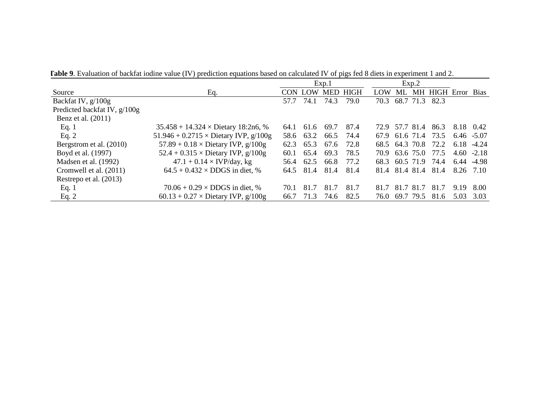**Table 9**. Evaluation of backfat iodine value (IV) prediction equations based on calculated IV of pigs fed 8 diets in experiment 1 and 2.

|                              |                                                     | Exp.1 |            |      | Exp.2           |                |           |           |               |               |             |
|------------------------------|-----------------------------------------------------|-------|------------|------|-----------------|----------------|-----------|-----------|---------------|---------------|-------------|
| Source                       | Eq.                                                 | CON.  | <b>LOW</b> |      | <b>MED HIGH</b> | <b>LOW</b>     | ML        |           | MH HIGH Error |               | <b>Bias</b> |
| Backfat IV, $g/100g$         |                                                     | 57.7  | 74.1       | 74.3 | 79.0            | 70.3           | 68.7      | 71.3      | 82.3          |               |             |
| Predicted backfat IV, g/100g |                                                     |       |            |      |                 |                |           |           |               |               |             |
| Benz et al. $(2011)$         |                                                     |       |            |      |                 |                |           |           |               |               |             |
| Eq. $1$                      | $35.458 + 14.324 \times \text{Dietary } 18:2n6, \%$ | 64.1  | 61.6       | 69.7 | 87.4            | 72.9           | 57.7 81.4 |           | 86.3          | 8.18          | 0.42        |
| Eq. $2$                      | 51.946 + 0.2715 $\times$ Dietary IVP, g/100g        | 58.6  | 63.2       | 66.5 | 74.4            | 67.9           | 61.6 71.4 |           | 73.5          | $6.46 - 5.07$ |             |
| Bergstrom et al. (2010)      | 57.89 + $0.18 \times$ Dietary IVP, $g/100g$         | 62.3  | 65.3       | 67.6 | 72.8            | 68.5 64.3 70.8 |           |           | 72.2          | 6.18          | $-4.24$     |
| Boyd et al. (1997)           | $52.4 + 0.315 \times$ Dietary IVP, $g/100g$         | 60.1  | 65.4       | 69.3 | 78.5            | 70.9           |           | 63.6 75.0 | 77.5          | 4.60          | $-2.18$     |
| Madsen et al. (1992)         | $47.1 + 0.14 \times IVP/day$ , kg                   | 56.4  | 62.5       | 66.8 | 77.2            | 68.3           | 60.5 71.9 |           | 74.4          | 6.44          | -4.98       |
| Cromwell et al. (2011)       | $64.5 + 0.432 \times DDGS$ in diet, %               | 64.5  | 81.4       | 81.4 | 81.4            | 81.4 81.4 81.4 |           |           | 81.4          | 8.26 7.10     |             |
| Restrepo et al. (2013)       |                                                     |       |            |      |                 |                |           |           |               |               |             |
| Eq. 1                        | $70.06 + 0.29 \times DDGS$ in diet, %               | 70.1  | 81.7       | 81.7 | 81.7            | 81.7           | 81.7      | 81.7      | 81.7          | 9.19          | 8.00        |
| Eq. $2$                      | $60.13 + 0.27 \times$ Dietary IVP, $g/100g$         | 66.7  | 71.3       | 74.6 | 82.5            | 76.0           | 69.7      | 79.5      | 81.6          | 5.03          | 3.03        |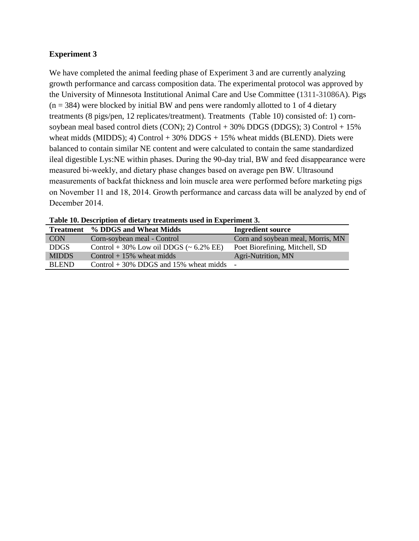#### **Experiment 3**

We have completed the animal feeding phase of Experiment 3 and are currently analyzing growth performance and carcass composition data. The experimental protocol was approved by the University of Minnesota Institutional Animal Care and Use Committee (1311-31086A). Pigs  $(n = 384)$  were blocked by initial BW and pens were randomly allotted to 1 of 4 dietary treatments (8 pigs/pen, 12 replicates/treatment). Treatments (Table 10) consisted of: 1) cornsoybean meal based control diets (CON); 2) Control + 30% DDGS (DDGS); 3) Control + 15% wheat midds (MIDDS); 4) Control  $+30\%$  DDGS  $+15\%$  wheat midds (BLEND). Diets were balanced to contain similar NE content and were calculated to contain the same standardized ileal digestible Lys:NE within phases. During the 90-day trial, BW and feed disappearance were measured bi-weekly, and dietary phase changes based on average pen BW. Ultrasound measurements of backfat thickness and loin muscle area were performed before marketing pigs on November 11 and 18, 2014. Growth performance and carcass data will be analyzed by end of December 2014.

| <b>Treatment</b> | % DDGS and Wheat Midds                           | <b>Ingredient source</b>          |
|------------------|--------------------------------------------------|-----------------------------------|
| <b>CON</b>       | Corn-soybean meal - Control                      | Corn and soybean meal, Morris, MN |
| <b>DDGS</b>      | Control + 30% Low oil DDGS $(-6.2\% \text{ EE})$ | Poet Biorefining, Mitchell, SD    |
| <b>MIDDS</b>     | Control $+15\%$ wheat midds                      | Agri-Nutrition, MN                |
| <b>BLEND</b>     | Control $+30\%$ DDGS and 15% wheat midds $-$     |                                   |

**Table 10. Description of dietary treatments used in Experiment 3.**